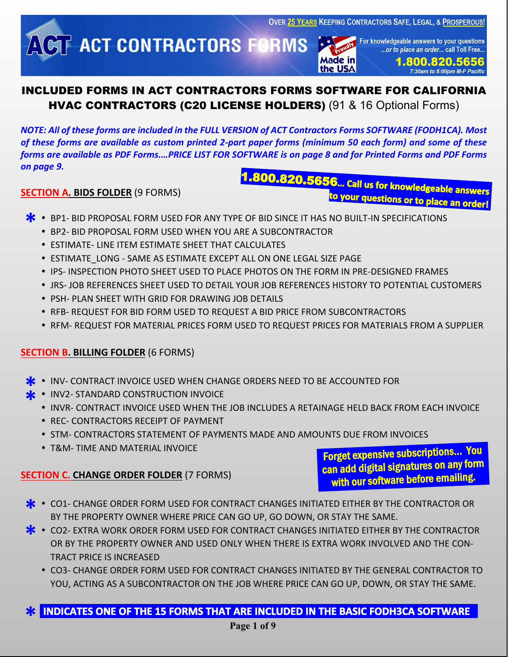**OVER 25 YEARS KEEPING CONTRACTORS SAFE, LEGAL, & PROSPEROUS!** 

**ACT CONTRACTORS FORMS** 

For knowledgeable answers to your questions ...or to place an order... call Toll Free..

**Made in** the USA

1.800.820.5656 7:30am to 8:00pm M-F Pacific

## INCLUDED FORMS IN ACT CONTRACTORS FORMS SOFTWARE FOR CALIFORNIA HVAC CONTRACTORS (C20 LICENSE HOLDERS) (91 & 16 Optional Forms)

*NOTE: All of these forms are included in the FULL VERSION of ACT Contractors Forms SOFTWARE (FODH1CA). Most of these forms are available as custom printed 2-part paper forms (minimum 50 each form) and some of these forms are available as PDF Forms.…PRICE LIST FOR SOFTWARE is on page 8 and for Printed Forms and PDF Forms on page 9.*

### **SECTION A. BIDS FOLDER** (9 FORMS)

.800.820.5656... Call us for knowledgeable answers<br>Ito your questions at a will to your questions or to place an order!

- **\* \*** BP1- BID PROPOSAL FORM USED FOR ANY TYPE OF BID SINCE IT HAS NO BUILT-IN SPECIFICATIONS<br>• BP2- BID PROPOSAL FORM USED WHEN YOU ARE A SUBCONTRACTOR
	- BP2- BID PROPOSAL FORM USED WHEN YOU ARE A SUBCONTRACTOR
	- ESTIMATE- LINE ITEM ESTIMATE SHEET THAT CALCULATES
	- **ESTIMATE LONG SAME AS ESTIMATE EXCEPT ALL ON ONE LEGAL SIZE PAGE**
	- **IPS- INSPECTION PHOTO SHEET USED TO PLACE PHOTOS ON THE FORM IN PRE-DESIGNED FRAMES**
	- JRS- JOB REFERENCES SHEET USED TO DETAIL YOUR JOB REFERENCES HISTORY TO POTENTIAL CUSTOMERS
	- PSH- PLAN SHEET WITH GRID FOR DRAWING JOB DETAILS
	- **RFB- REQUEST FOR BID FORM USED TO REQUEST A BID PRICE FROM SUBCONTRACTORS**
	- RFM- REQUEST FOR MATERIAL PRICES FORM USED TO REQUEST PRICES FOR MATERIALS FROM A SUPPLIER

### **SECTION B. BILLING FOLDER** (6 FORMS)

- INV- CONTRACT INVOICE USED WHEN CHANGE ORDERS NEED TO BE ACCOUNTED FOR **\*** INV- CONTRACT INVOICE USED WHEN CHA<br> **\*** INV2- STANDARD CONSTRUCTION INVOICE
- **\***
	- INVR- CONTRACT INVOICE USED WHEN THE JOB INCLUDES A RETAINAGE HELD BACK FROM EACH INVOICE
	- **REC- CONTRACTORS RECEIPT OF PAYMENT**
	- **STM- CONTRACTORS STATEMENT OF PAYMENTS MADE AND AMOUNTS DUE FROM INVOICES**
	- T&M- TIME AND MATERIAL INVOICE

### **SECTION C. CHANGE ORDER FOLDER** (7 FORMS)

Forget expensive subscriptions… You can add digital signatures on any form with our software before emailing.

- **\*** CO1- CHANGE ORDER FORM USED FOR CONTRACT CHANGES INITIATED EITHER BY THE CONTRACTOR OR BY THE PROPERTY OWNER WHERE PRICE CAN GO UP, GO DOWN, OR STAY THE SAME. BY THE PROPERTY OWNER WHERE PRICE CAN GO UP, GO DOWN, OR STAY THE SAME.
- CO2- EXTRA WORK ORDER FORM USED FOR CONTRACT CHANGES INITIATED EITHER BY THE CONTRACTOR OR BY THE PROPERTY OWNER AND USED ONLY WHEN THERE IS EXTRA WORK INVOLVED AND THE CON-OR BY THE PROPERTY OWNER AND USED ONLY WHEN THERE IS EXTRA WORK INVOLVED AND THE CON-TRACT PRICE IS INCREASED
	- CO3- CHANGE ORDER FORM USED FOR CONTRACT CHANGES INITIATED BY THE GENERAL CONTRACTOR TO YOU, ACTING AS A SUBCONTRACTOR ON THE JOB WHERE PRICE CAN GO UP, DOWN, OR STAY THE SAME.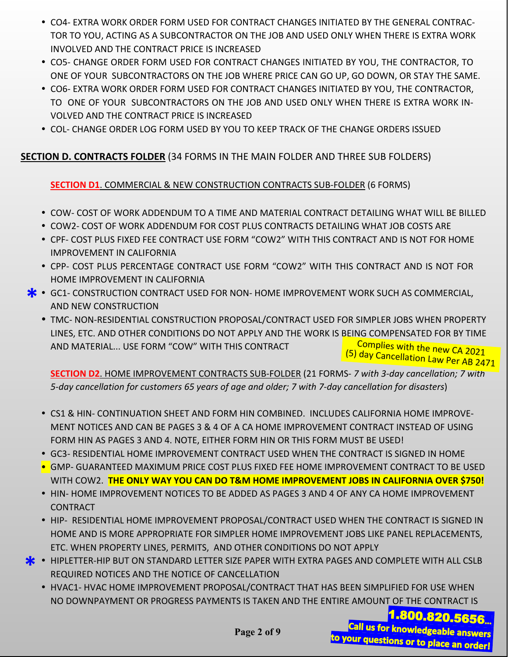- CO4- EXTRA WORK ORDER FORM USED FOR CONTRACT CHANGES INITIATED BY THE GENERAL CONTRAC-TOR TO YOU, ACTING AS A SUBCONTRACTOR ON THE JOB AND USED ONLY WHEN THERE IS EXTRA WORK INVOLVED AND THE CONTRACT PRICE IS INCREASED
- CO5- CHANGE ORDER FORM USED FOR CONTRACT CHANGES INITIATED BY YOU, THE CONTRACTOR, TO ONE OF YOUR SUBCONTRACTORS ON THE JOB WHERE PRICE CAN GO UP, GO DOWN, OR STAY THE SAME.
- CO6- EXTRA WORK ORDER FORM USED FOR CONTRACT CHANGES INITIATED BY YOU, THE CONTRACTOR, TO ONE OF YOUR SUBCONTRACTORS ON THE JOB AND USED ONLY WHEN THERE IS EXTRA WORK IN-VOLVED AND THE CONTRACT PRICE IS INCREASED
- COL- CHANGE ORDER LOG FORM USED BY YOU TO KEEP TRACK OF THE CHANGE ORDERS ISSUED

### **SECTION D. CONTRACTS FOLDER** (34 FORMS IN THE MAIN FOLDER AND THREE SUB FOLDERS)

### **SECTION D1**. COMMERCIAL & NEW CONSTRUCTION CONTRACTS SUB-FOLDER (6 FORMS)

- COW- COST OF WORK ADDENDUM TO A TIME AND MATERIAL CONTRACT DETAILING WHAT WILL BE BILLED
- COW2- COST OF WORK ADDENDUM FOR COST PLUS CONTRACTS DETAILING WHAT JOB COSTS ARE
- CPF- COST PLUS FIXED FEE CONTRACT USE FORM "COW2" WITH THIS CONTRACT AND IS NOT FOR HOME IMPROVEMENT IN CALIFORNIA
- CPP- COST PLUS PERCENTAGE CONTRACT USE FORM "COW2" WITH THIS CONTRACT AND IS NOT FOR HOME IMPROVEMENT IN CALIFORNIA
- **\*** GC1- CONSTRUCTION CONTRACT USED FOR NON- HOME IMPROVEMENT WORK SUCH AS COMMERCIAL,<br>AND NEW CONSTRUCTION AND NEW CONSTRUCTION
	- TMC- NON-RESIDENTIAL CONSTRUCTION PROPOSAL/CONTRACT USED FOR SIMPLER JOBS WHEN PROPERTY LINES, ETC. AND OTHER CONDITIONS DO NOT APPLY AND THE WORK IS BEING COMPENSATED FOR BY TIME AND MATERIAL... USE FORM "COW" WITH THIS CONTRACT Complies with the new CA 2021

(5) day Cancellation Law Per AB 2471

**SECTION D2**. HOME IMPROVEMENT CONTRACTS SUB-FOLDER (21 FORMS- *7 with 3-day cancellation; 7 with 5-day cancellation for customers 65 years of age and older; 7 with 7-day cancellation for disasters*)

- CS1 & HIN- CONTINUATION SHEET AND FORM HIN COMBINED. INCLUDES CALIFORNIA HOME IMPROVE-MENT NOTICES AND CAN BE PAGES 3 & 4 OF A CA HOME IMPROVEMENT CONTRACT INSTEAD OF USING FORM HIN AS PAGES 3 AND 4. NOTE, EITHER FORM HIN OR THIS FORM MUST BE USED!
- GC3- RESIDENTIAL HOME IMPROVEMENT CONTRACT USED WHEN THE CONTRACT IS SIGNED IN HOME
- GMP- GUARANTEED MAXIMUM PRICE COST PLUS FIXED FEE HOME IMPROVEMENT CONTRACT TO BE USED WITH COW2. **THE ONLY WAY YOU CAN DO T&M HOME IMPROVEMENT JOBS IN CALIFORNIA OVER \$750!**
- **HIN- HOME IMPROVEMENT NOTICES TO BE ADDED AS PAGES 3 AND 4 OF ANY CA HOME IMPROVEMENT CONTRACT**
- HIP- RESIDENTIAL HOME IMPROVEMENT PROPOSAL/CONTRACT USED WHEN THE CONTRACT IS SIGNED IN HOME AND IS MORE APPROPRIATE FOR SIMPLER HOME IMPROVEMENT JOBS LIKE PANEL REPLACEMENTS, ETC. WHEN PROPERTY LINES, PERMITS, AND OTHER CONDITIONS DO NOT APPLY
- **\*** HIPLETTER-HIP BUT ON STANDARD LETTER SIZE PAPER WITH EXTRA PAGES AND COMPLETE WITH ALL CSLB<br>REQUIRED NOTICES AND THE NOTICE OF CANCELLATION REQUIRED NOTICES AND THE NOTICE OF CANCELLATION
	- **HVAC1- HVAC HOME IMPROVEMENT PROPOSAL/CONTRACT THAT HAS BEEN SIMPLIFIED FOR USE WHEN** NO DOWNPAYMENT OR PROGRESS PAYMENTS IS TAKEN AND THE ENTIRE AMOUNT OF THE CONTRACT IS

1.800.820.5656 Call us for knowledgeable answers

to your questions or to place an order!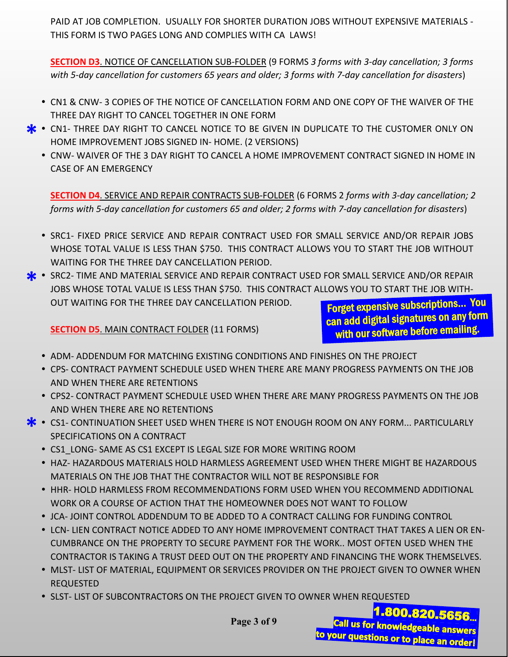PAID AT JOB COMPLETION. USUALLY FOR SHORTER DURATION JOBS WITHOUT EXPENSIVE MATERIALS - THIS FORM IS TWO PAGES LONG AND COMPLIES WITH CA LAWS!

**SECTION D3**. NOTICE OF CANCELLATION SUB-FOLDER (9 FORMS *3 forms with 3-day cancellation; 3 forms with 5-day cancellation for customers 65 years and older; 3 forms with 7-day cancellation for disasters*)

- CN1 & CNW- 3 COPIES OF THE NOTICE OF CANCELLATION FORM AND ONE COPY OF THE WAIVER OF THE THREE DAY RIGHT TO CANCEL TOGETHER IN ONE FORM
- **\*** CN1- THREE DAY RIGHT TO CANCEL NOTICE TO BE GIVEN IN DUPLICATE TO THE CUSTOMER ONLY ON HOME IMPROVEMENT JOBS SIGNED IN- HOME. (2 VERSIONS) HOME IMPROVEMENT JOBS SIGNED IN- HOME. (2 VERSIONS)
	- CNW- WAIVER OF THE 3 DAY RIGHT TO CANCEL A HOME IMPROVEMENT CONTRACT SIGNED IN HOME IN CASE OF AN EMERGENCY

**SECTION D4**. SERVICE AND REPAIR CONTRACTS SUB-FOLDER (6 FORMS 2 *forms with 3-day cancellation; 2 forms with 5-day cancellation for customers 65 and older; 2 forms with 7-day cancellation for disasters*)

- **.** SRC1- FIXED PRICE SERVICE AND REPAIR CONTRACT USED FOR SMALL SERVICE AND/OR REPAIR JOBS WHOSE TOTAL VALUE IS LESS THAN \$750. THIS CONTRACT ALLOWS YOU TO START THE JOB WITHOUT WAITING FOR THE THREE DAY CANCELLATION PERIOD.
- SRC2- TIME AND MATERIAL SERVICE AND REPAIR CONTRACT USED FOR SMALL SERVICE AND/OR REPAIR JOBS WHOSE TOTAL VALUE IS LESS THAN \$750. THIS CONTRACT ALLOWS YOU TO START THE JOB WITH-JOBS WHOSE TOTAL VALUE IS LESS THAN \$750. THIS CONTRACT ALLOWS YOU TO START THE JOB WITH-OUT WAITING FOR THE THREE DAY CANCELLATION PERIOD.

**SECTION D5**. MAIN CONTRACT FOLDER (11 FORMS)

Forget expensive subscriptions… You can add digital signatures on any form with our software before emailing.

- **ADM- ADDENDUM FOR MATCHING EXISTING CONDITIONS AND FINISHES ON THE PROJECT**
- CPS- CONTRACT PAYMENT SCHEDULE USED WHEN THERE ARE MANY PROGRESS PAYMENTS ON THE JOB AND WHEN THERE ARE RETENTIONS
- CPS2- CONTRACT PAYMENT SCHEDULE USED WHEN THERE ARE MANY PROGRESS PAYMENTS ON THE JOB AND WHEN THERE ARE NO RETENTIONS
- **\***  $\bullet$  CS1- CONTINUATION SHEET USED WHEN THERE IS NOT ENOUGH ROOM ON ANY FORM... PARTICULARLY SPECIFICATIONS ON A CONTRACT SPECIFICATIONS ON A CONTRACT
	- CS1\_LONG- SAME AS CS1 EXCEPT IS LEGAL SIZE FOR MORE WRITING ROOM
	- HAZ- HAZARDOUS MATERIALS HOLD HARMLESS AGREEMENT USED WHEN THERE MIGHT BE HAZARDOUS MATERIALS ON THE JOB THAT THE CONTRACTOR WILL NOT BE RESPONSIBLE FOR
	- **HHR- HOLD HARMLESS FROM RECOMMENDATIONS FORM USED WHEN YOU RECOMMEND ADDITIONAL** WORK OR A COURSE OF ACTION THAT THE HOMEOWNER DOES NOT WANT TO FOLLOW
	- JCA- JOINT CONTROL ADDENDUM TO BE ADDED TO A CONTRACT CALLING FOR FUNDING CONTROL
	- **LCN- LIEN CONTRACT NOTICE ADDED TO ANY HOME IMPROVEMENT CONTRACT THAT TAKES A LIEN OR EN-**CUMBRANCE ON THE PROPERTY TO SECURE PAYMENT FOR THE WORK.. MOST OFTEN USED WHEN THE CONTRACTOR IS TAKING A TRUST DEED OUT ON THE PROPERTY AND FINANCING THE WORK THEMSELVES.
	- **MLST- LIST OF MATERIAL, EQUIPMENT OR SERVICES PROVIDER ON THE PROJECT GIVEN TO OWNER WHEN** REQUESTED
	- **.** SLST- LIST OF SUBCONTRACTORS ON THE PROJECT GIVEN TO OWNER WHEN REQUESTED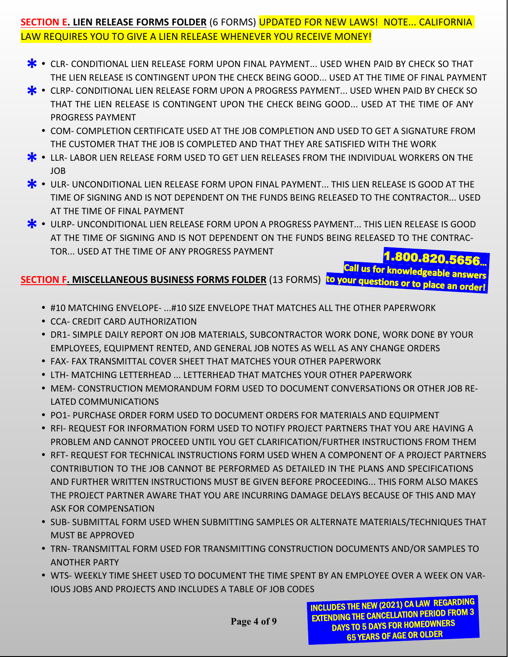## **SECTION E. LIEN RELEASE FORMS FOLDER** (6 FORMS) UPDATED FOR NEW LAWS! NOTE... CALIFORNIA LAW REQUIRES YOU TO GIVE A LIEN RELEASE WHENEVER YOU RECEIVE MONEY!

- CLR- CONDITIONAL LIEN RELEASE FORM UPON FINAL PAYMENT... USED WHEN PAID BY CHECK SO THAT THE LIEN RELEASE IS CONTINGENT UPON THE CHECK BEING GOOD... USED AT THE TIME OF FINAL PAYME THE LIEN RELEASE IS CONTINGENT UPON THE CHECK BEING GOOD... USED AT THE TIME OF FINAL PAYMENT
- CLRP- CONDITIONAL LIEN RELEASE FORM UPON A PROGRESS PAYMENT... USED WHEN PAID BY CHECK SO THAT THE LIEN RELEASE IS CONTINGENT UPON THE CHECK BEING GOOD... USED AT THE TIME OF ANY THAT THE LIEN RELEASE IS CONTINGENT UPON THE CHECK BEING GOOD... USED AT THE TIME OF ANY PROGRESS PAYMENT
	- COM- COMPLETION CERTIFICATE USED AT THE JOB COMPLETION AND USED TO GET A SIGNATURE FROM THE CUSTOMER THAT THE JOB IS COMPLETED AND THAT THEY ARE SATISFIED WITH THE WORK
- **\*** LLR- LABOR LIEN RELEASE FORM USED TO GET LIEN RELEASES FROM THE INDIVIDUAL WORKERS ON THE JOB JOB
- **\*** ULR- UNCONDITIONAL LIEN RELEASE FORM UPON FINAL PAYMENT... THIS LIEN RELEASE IS GOOD AT THE ∪WING AND IS NOT DEPENDENT ON THE FUNDS BEING RELEASED TO THE CONTRACTOR... USEI TIME OF SIGNING AND IS NOT DEPENDENT ON THE FUNDS BEING RELEASED TO THE CONTRACTOR... USED AT THE TIME OF FINAL PAYMENT
- ULRP- UNCONDITIONAL LIEN RELEASE FORM UPON A PROGRESS PAYMENT... THIS LIEN RELEASE IS GOOD AT THE TIME OF SIGNING AND IS NOT DEPENDENT ON THE FUNDS BEING RELEASED TO THE CONTRAC-AT THE TIME OF SIGNING AND IS NOT DEPENDENT ON THE FUNDS BEING RELEASED TO THE CONTRAC-TOR... USED AT THE TIME OF ANY PROGRESS PAYMENT 1.800.820.5656

Call us for knowledgeable answers

**SECTION F. MISCELLANEOUS BUSINESS FORMS FOLDER** (13 FORMS) **to your questions or to place an order!** 

- #10 MATCHING ENVELOPE- ...#10 SIZE ENVELOPE THAT MATCHES ALL THE OTHER PAPERWORK
- CCA- CREDIT CARD AUTHORIZATION
- **DR1- SIMPLE DAILY REPORT ON JOB MATERIALS, SUBCONTRACTOR WORK DONE, WORK DONE BY YOUR** EMPLOYEES, EQUIPMENT RENTED, AND GENERAL JOB NOTES AS WELL AS ANY CHANGE ORDERS
- FAX- FAX TRANSMITTAL COVER SHEET THAT MATCHES YOUR OTHER PAPERWORK
- LTH- MATCHING LETTERHEAD ... LETTERHEAD THAT MATCHES YOUR OTHER PAPERWORK
- MEM- CONSTRUCTION MEMORANDUM FORM USED TO DOCUMENT CONVERSATIONS OR OTHER JOB RE-LATED COMMUNICATIONS
- **PO1- PURCHASE ORDER FORM USED TO DOCUMENT ORDERS FOR MATERIALS AND EQUIPMENT**
- **. RFI- REQUEST FOR INFORMATION FORM USED TO NOTIFY PROJECT PARTNERS THAT YOU ARE HAVING A** PROBLEM AND CANNOT PROCEED UNTIL YOU GET CLARIFICATION/FURTHER INSTRUCTIONS FROM THEM
- **RFT- REQUEST FOR TECHNICAL INSTRUCTIONS FORM USED WHEN A COMPONENT OF A PROJECT PARTNERS** CONTRIBUTION TO THE JOB CANNOT BE PERFORMED AS DETAILED IN THE PLANS AND SPECIFICATIONS AND FURTHER WRITTEN INSTRUCTIONS MUST BE GIVEN BEFORE PROCEEDING... THIS FORM ALSO MAKES THE PROJECT PARTNER AWARE THAT YOU ARE INCURRING DAMAGE DELAYS BECAUSE OF THIS AND MAY ASK FOR COMPENSATION
- **SUB- SUBMITTAL FORM USED WHEN SUBMITTING SAMPLES OR ALTERNATE MATERIALS/TECHNIQUES THAT** MUST BE APPROVED
- TRN- TRANSMITTAL FORM USED FOR TRANSMITTING CONSTRUCTION DOCUMENTS AND/OR SAMPLES TO ANOTHER PARTY
- WTS- WEEKLY TIME SHEET USED TO DOCUMENT THE TIME SPENT BY AN EMPLOYEE OVER A WEEK ON VAR-IOUS JOBS AND PROJECTS AND INCLUDES A TABLE OF JOB CODES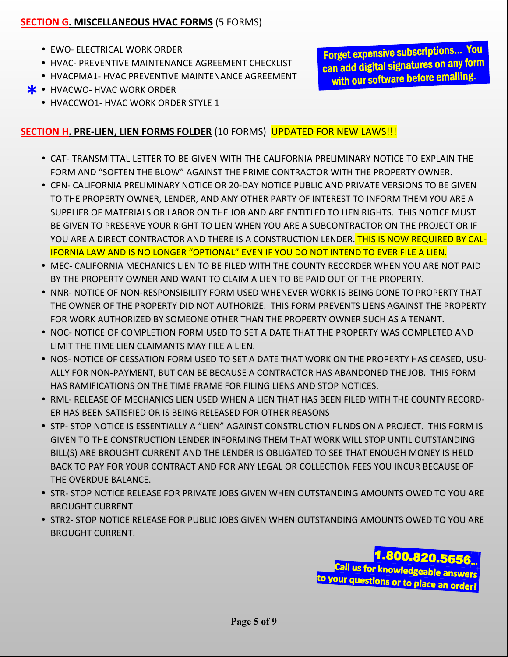### **SECTION G. MISCELLANEOUS HVAC FORMS** (5 FORMS)

- EWO- ELECTRICAL WORK ORDER
- HVAC- PREVENTIVE MAINTENANCE AGREEMENT CHECKLIST
- HVACPMA1- HVAC PREVENTIVE MAINTENANCE AGREEMENT
- **\*** HVACWO- HVAC WORK ORDER<br>• HVACCWO1- HVAC WORK ORD
	- HVACCWO1- HVAC WORK ORDER STYLE 1

Forget expensive subscriptions… You can add digital signatures on any form with our software before emailing.

### **SECTION H. PRE-LIEN, LIEN FORMS FOLDER** (10 FORMS) UPDATED FOR NEW LAWS!!!

- CAT- TRANSMITTAL LETTER TO BE GIVEN WITH THE CALIFORNIA PRELIMINARY NOTICE TO EXPLAIN THE FORM AND "SOFTEN THE BLOW" AGAINST THE PRIME CONTRACTOR WITH THE PROPERTY OWNER.
- CPN- CALIFORNIA PRELIMINARY NOTICE OR 20-DAY NOTICE PUBLIC AND PRIVATE VERSIONS TO BE GIVEN TO THE PROPERTY OWNER, LENDER, AND ANY OTHER PARTY OF INTEREST TO INFORM THEM YOU ARE A SUPPLIER OF MATERIALS OR LABOR ON THE JOB AND ARE ENTITLED TO LIEN RIGHTS. THIS NOTICE MUST BE GIVEN TO PRESERVE YOUR RIGHT TO LIEN WHEN YOU ARE A SUBCONTRACTOR ON THE PROJECT OR IF YOU ARE A DIRECT CONTRACTOR AND THERE IS A CONSTRUCTION LENDER. THIS IS NOW REQUIRED BY CAL-IFORNIA LAW AND IS NO LONGER "OPTIONAL" EVEN IF YOU DO NOT INTEND TO EVER FILE A LIEN.
- **MEC- CALIFORNIA MECHANICS LIEN TO BE FILED WITH THE COUNTY RECORDER WHEN YOU ARE NOT PAID** BY THE PROPERTY OWNER AND WANT TO CLAIM A LIEN TO BE PAID OUT OF THE PROPERTY.
- . NNR- NOTICE OF NON-RESPONSIBILITY FORM USED WHENEVER WORK IS BEING DONE TO PROPERTY THAT THE OWNER OF THE PROPERTY DID NOT AUTHORIZE. THIS FORM PREVENTS LIENS AGAINST THE PROPERTY FOR WORK AUTHORIZED BY SOMEONE OTHER THAN THE PROPERTY OWNER SUCH AS A TENANT.
- NOC- NOTICE OF COMPLETION FORM USED TO SET A DATE THAT THE PROPERTY WAS COMPLETED AND LIMIT THE TIME LIEN CLAIMANTS MAY FILE A LIEN.
- NOS- NOTICE OF CESSATION FORM USED TO SET A DATE THAT WORK ON THE PROPERTY HAS CEASED, USU-ALLY FOR NON-PAYMENT, BUT CAN BE BECAUSE A CONTRACTOR HAS ABANDONED THE JOB. THIS FORM HAS RAMIFICATIONS ON THE TIME FRAME FOR FILING LIENS AND STOP NOTICES.
- RML- RELEASE OF MECHANICS LIEN USED WHEN A LIEN THAT HAS BEEN FILED WITH THE COUNTY RECORD-ER HAS BEEN SATISFIED OR IS BEING RELEASED FOR OTHER REASONS
- **STP- STOP NOTICE IS ESSENTIALLY A "LIEN" AGAINST CONSTRUCTION FUNDS ON A PROJECT. THIS FORM IS** GIVEN TO THE CONSTRUCTION LENDER INFORMING THEM THAT WORK WILL STOP UNTIL OUTSTANDING BILL(S) ARE BROUGHT CURRENT AND THE LENDER IS OBLIGATED TO SEE THAT ENOUGH MONEY IS HELD BACK TO PAY FOR YOUR CONTRACT AND FOR ANY LEGAL OR COLLECTION FEES YOU INCUR BECAUSE OF THE OVERDUE BALANCE.
- **STR- STOP NOTICE RELEASE FOR PRIVATE JOBS GIVEN WHEN OUTSTANDING AMOUNTS OWED TO YOU ARE** BROUGHT CURRENT.
- **STR2- STOP NOTICE RELEASE FOR PUBLIC JOBS GIVEN WHEN OUTSTANDING AMOUNTS OWED TO YOU ARE** BROUGHT CURRENT.

.800.820.5 Call us for knowledgeable answers to your questions or to place an order!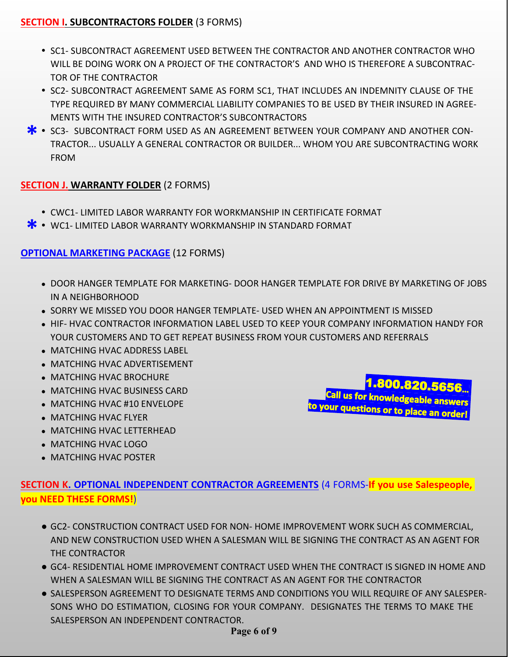- **SC1- SUBCONTRACT AGREEMENT USED BETWEEN THE CONTRACTOR AND ANOTHER CONTRACTOR WHO** WILL BE DOING WORK ON A PROJECT OF THE CONTRACTOR'S AND WHO IS THEREFORE A SUBCONTRAC-TOR OF THE CONTRACTOR
- SC2- SUBCONTRACT AGREEMENT SAME AS FORM SC1, THAT INCLUDES AN INDEMNITY CLAUSE OF THE TYPE REQUIRED BY MANY COMMERCIAL LIABILITY COMPANIES TO BE USED BY THEIR INSURED IN AGREE-MENTS WITH THE INSURED CONTRACTOR'S SUBCONTRACTORS
- SC3- SUBCONTRACT FORM USED AS AN AGREEMENT BETWEEN YOUR COMPANY AND ANOTHER CON-<br>TRACTOR... USUALLY A GENERAL CONTRACTOR OR BUILDER... WHOM YOU ARE SUBCONTRACTING WOR TRACTOR... USUALLY A GENERAL CONTRACTOR OR BUILDER... WHOM YOU ARE SUBCONTRACTING WORK FROM

### **SECTION J. WARRANTY FOLDER** (2 FORMS)

- CWC1- LIMITED LABOR WARRANTY FOR WORKMANSHIP IN CERTIFICATE FORMAT
- **\*** WC1- LIMITED LABOR WARRANTY WORKMANSHIP IN STANDARD FORMAT

### **OPTIONAL MARKETING PACKAGE** (12 FORMS)

- DOOR HANGER TEMPLATE FOR MARKETING- DOOR HANGER TEMPLATE FOR DRIVE BY MARKETING OF JOBS IN A NEIGHBORHOOD
- SORRY WE MISSED YOU DOOR HANGER TEMPLATE- USED WHEN AN APPOINTMENT IS MISSED
- HIF- HVAC CONTRACTOR INFORMATION LABEL USED TO KEEP YOUR COMPANY INFORMATION HANDY FOR YOUR CUSTOMERS AND TO GET REPEAT BUSINESS FROM YOUR CUSTOMERS AND REFERRALS
- MATCHING HVAC ADDRESS LABEL
- MATCHING HVAC ADVERTISEMENT
- MATCHING HVAC BROCHURE
- MATCHING HVAC BUSINESS CARD
- $\bullet$  MATCHING HVAC #10 ENVELOPE
- MATCHING HVAC FLYER
- MATCHING HVAC LETTERHEAD
- MATCHING HVAC LOGO
- MATCHING HVAC POSTER

800.820.5656 Call us for knowledgeable answers to your questions or to place an order!

## **SECTION K. OPTIONAL INDEPENDENT CONTRACTOR AGREEMENTS** (4 FORMS-**If you use Salespeople, you NEED THESE FORMS!**)

- GC2- CONSTRUCTION CONTRACT USED FOR NON- HOME IMPROVEMENT WORK SUCH AS COMMERCIAL, AND NEW CONSTRUCTION USED WHEN A SALESMAN WILL BE SIGNING THE CONTRACT AS AN AGENT FOR THE CONTRACTOR
- GC4- RESIDENTIAL HOME IMPROVEMENT CONTRACT USED WHEN THE CONTRACT IS SIGNED IN HOME AND WHEN A SALESMAN WILL BE SIGNING THE CONTRACT AS AN AGENT FOR THE CONTRACTOR
- SALESPERSON AGREEMENT TO DESIGNATE TERMS AND CONDITIONS YOU WILL REQUIRE OF ANY SALESPER-SONS WHO DO ESTIMATION, CLOSING FOR YOUR COMPANY. DESIGNATES THE TERMS TO MAKE THE SALESPERSON AN INDEPENDENT CONTRACTOR.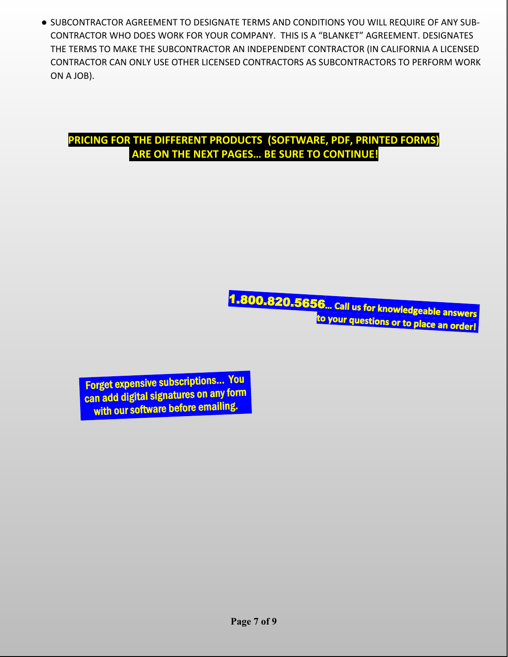● SUBCONTRACTOR AGREEMENT TO DESIGNATE TERMS AND CONDITIONS YOU WILL REQUIRE OF ANY SUB-CONTRACTOR WHO DOES WORK FOR YOUR COMPANY. THIS IS A "BLANKET" AGREEMENT. DESIGNATES THE TERMS TO MAKE THE SUBCONTRACTOR AN INDEPENDENT CONTRACTOR (IN CALIFORNIA A LICENSED CONTRACTOR CAN ONLY USE OTHER LICENSED CONTRACTORS AS SUBCONTRACTORS TO PERFORM WORK ON A JOB).

# **PRICING FOR THE DIFFERENT PRODUCTS (SOFTWARE, PDF, PRINTED FORMS) ARE ON THE NEXT PAGES… BE SURE TO CONTINUE!**

1.800.820.5656... Call us for knowledgeable answers to your questions or to place an order!

Forget expensive subscriptions… You can add digital signatures on any form with our software before emailing.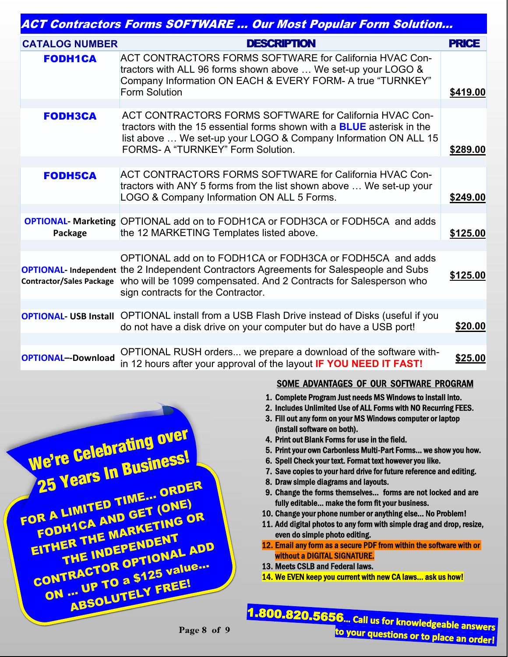| <b>ACT Contractors Forms SOFTWARE  Our Most Popular Form Solution</b> |                                                                                                                                                                                                                                                                                                 |              |  |  |
|-----------------------------------------------------------------------|-------------------------------------------------------------------------------------------------------------------------------------------------------------------------------------------------------------------------------------------------------------------------------------------------|--------------|--|--|
| <b>CATALOG NUMBER</b>                                                 | <b>DESCRIPTION</b>                                                                                                                                                                                                                                                                              | <b>PRICE</b> |  |  |
| <b>FODH1CA</b>                                                        | ACT CONTRACTORS FORMS SOFTWARE for California HVAC Con-<br>tractors with ALL 96 forms shown above  We set-up your LOGO &<br>Company Information ON EACH & EVERY FORM- A true "TURNKEY"<br>Form Solution                                                                                         | \$419.00     |  |  |
|                                                                       |                                                                                                                                                                                                                                                                                                 |              |  |  |
| <b>FODH3CA</b>                                                        | ACT CONTRACTORS FORMS SOFTWARE for California HVAC Con-<br>tractors with the 15 essential forms shown with a <b>BLUE</b> asterisk in the<br>list above  We set-up your LOGO & Company Information ON ALL 15<br>FORMS- A "TURNKEY" Form Solution.                                                | \$289.00     |  |  |
|                                                                       |                                                                                                                                                                                                                                                                                                 |              |  |  |
| <b>FODH5CA</b>                                                        | ACT CONTRACTORS FORMS SOFTWARE for California HVAC Con-<br>tractors with ANY 5 forms from the list shown above  We set-up your<br>LOGO & Company Information ON ALL 5 Forms.                                                                                                                    | \$249.00     |  |  |
| Package                                                               | <b>OPTIONAL- Marketing OPTIONAL add on to FODH1CA or FODH3CA or FODH5CA and adds</b><br>the 12 MARKETING Templates listed above.                                                                                                                                                                | \$125.00     |  |  |
|                                                                       |                                                                                                                                                                                                                                                                                                 |              |  |  |
|                                                                       | OPTIONAL add on to FODH1CA or FODH3CA or FODH5CA and adds<br><b>OPTIONAL- Independent the 2 Independent Contractors Agreements for Salespeople and Subs</b><br>Contractor/Sales Package who will be 1099 compensated. And 2 Contracts for Salesperson who<br>sign contracts for the Contractor. | \$125.00     |  |  |
|                                                                       |                                                                                                                                                                                                                                                                                                 |              |  |  |
|                                                                       | <b>OPTIONAL- USB Install</b> OPTIONAL install from a USB Flash Drive instead of Disks (useful if you<br>do not have a disk drive on your computer but do have a USB port!                                                                                                                       | \$20.00      |  |  |
|                                                                       |                                                                                                                                                                                                                                                                                                 |              |  |  |
| <b>OPTIONAL--Download</b>                                             | OPTIONAL RUSH orders we prepare a download of the software with-<br>in 12 hours after your approval of the layout IF YOU NEED IT FAST!                                                                                                                                                          | \$25.00      |  |  |



#### SOME ADVANTAGES OF OUR SOFTWARE PROGRAM

- 1. Complete Program Just needs MS Windows to install into.
- 2. Includes Unlimited Use of ALL Forms with NO Recurring FEES.
- 3. Fill out any form on your MS Windows computer or laptop (install software on both).
- 4. Print out Blank Forms for use in the field.
- 5. Print your own Carbonless Multi-Part Forms… we show you how.
- 6. Spell Check your text. Format text however you like.
- 7. Save copies to your hard drive for future reference and editing.
- 8. Draw simple diagrams and layouts.
- 9. Change the forms themselves… forms are not locked and are fully editable… make the form fit your business.
- 10. Change your phone number or anything else… No Problem!
- 11. Add digital photos to any form with simple drag and drop, resize, even do simple photo editing.
- 12. Email any form as a secure PDF from within the software with or without a DIGITAL SIGNATURE.
- 13. Meets CSLB and Federal laws.
- 14. We EVEN keep you current with new CA laws… ask us how!

1.800.820.5656... Call us for knowledgeable answers to your questions or to place an order!